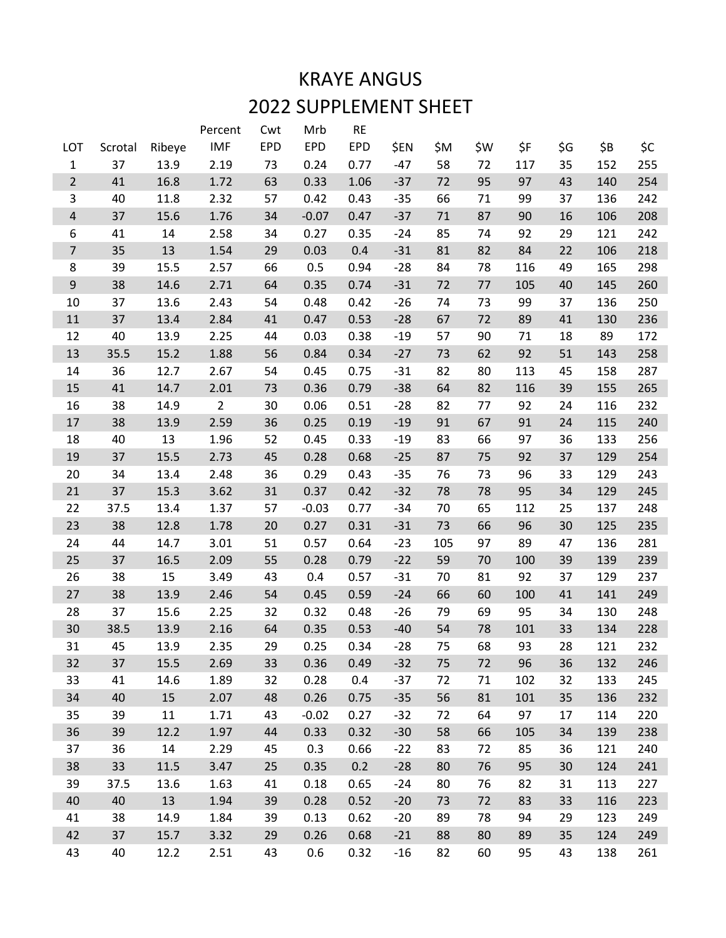## KRAYE ANGUS 2022 SUPPLEMENT SHEET

|                         |         |        | Percent        | Cwt        | Mrb        | <b>RE</b> |       |     |     |     |     |     |     |
|-------------------------|---------|--------|----------------|------------|------------|-----------|-------|-----|-----|-----|-----|-----|-----|
| LOT                     | Scrotal | Ribeye | <b>IMF</b>     | <b>EPD</b> | <b>EPD</b> | EPD       | \$EN  | \$M | \$W | \$F | \$G | \$B | \$C |
| $\mathbf 1$             | 37      | 13.9   | 2.19           | 73         | 0.24       | 0.77      | $-47$ | 58  | 72  | 117 | 35  | 152 | 255 |
| $\overline{2}$          | 41      | 16.8   | 1.72           | 63         | 0.33       | 1.06      | $-37$ | 72  | 95  | 97  | 43  | 140 | 254 |
| $\mathsf{3}$            | 40      | 11.8   | 2.32           | 57         | 0.42       | 0.43      | $-35$ | 66  | 71  | 99  | 37  | 136 | 242 |
| $\overline{\mathbf{r}}$ | 37      | 15.6   | 1.76           | 34         | $-0.07$    | 0.47      | $-37$ | 71  | 87  | 90  | 16  | 106 | 208 |
| 6                       | 41      | 14     | 2.58           | 34         | 0.27       | 0.35      | $-24$ | 85  | 74  | 92  | 29  | 121 | 242 |
| $\overline{7}$          | 35      | 13     | 1.54           | 29         | 0.03       | 0.4       | $-31$ | 81  | 82  | 84  | 22  | 106 | 218 |
| 8                       | 39      | 15.5   | 2.57           | 66         | 0.5        | 0.94      | $-28$ | 84  | 78  | 116 | 49  | 165 | 298 |
| $\boldsymbol{9}$        | 38      | 14.6   | 2.71           | 64         | 0.35       | 0.74      | $-31$ | 72  | 77  | 105 | 40  | 145 | 260 |
| 10                      | 37      | 13.6   | 2.43           | 54         | 0.48       | 0.42      | $-26$ | 74  | 73  | 99  | 37  | 136 | 250 |
| 11                      | 37      | 13.4   | 2.84           | 41         | 0.47       | 0.53      | $-28$ | 67  | 72  | 89  | 41  | 130 | 236 |
| 12                      | 40      | 13.9   | 2.25           | 44         | 0.03       | 0.38      | $-19$ | 57  | 90  | 71  | 18  | 89  | 172 |
| 13                      | 35.5    | 15.2   | 1.88           | 56         | 0.84       | 0.34      | $-27$ | 73  | 62  | 92  | 51  | 143 | 258 |
| 14                      | 36      | 12.7   | 2.67           | 54         | 0.45       | 0.75      | $-31$ | 82  | 80  | 113 | 45  | 158 | 287 |
| 15                      | 41      | 14.7   | 2.01           | 73         | 0.36       | 0.79      | $-38$ | 64  | 82  | 116 | 39  | 155 | 265 |
| 16                      | 38      | 14.9   | $\overline{2}$ | 30         | 0.06       | 0.51      | $-28$ | 82  | 77  | 92  | 24  | 116 | 232 |
| 17                      | 38      | 13.9   | 2.59           | 36         | 0.25       | 0.19      | $-19$ | 91  | 67  | 91  | 24  | 115 | 240 |
| 18                      | 40      | 13     | 1.96           | 52         | 0.45       | 0.33      | $-19$ | 83  | 66  | 97  | 36  | 133 | 256 |
| 19                      | 37      | 15.5   | 2.73           | 45         | 0.28       | 0.68      | $-25$ | 87  | 75  | 92  | 37  | 129 | 254 |
| 20                      | 34      | 13.4   | 2.48           | 36         | 0.29       | 0.43      | $-35$ | 76  | 73  | 96  | 33  | 129 | 243 |
| 21                      | 37      | 15.3   | 3.62           | 31         | 0.37       | 0.42      | $-32$ | 78  | 78  | 95  | 34  | 129 | 245 |
| 22                      | 37.5    | 13.4   | 1.37           | 57         | $-0.03$    | 0.77      | $-34$ | 70  | 65  | 112 | 25  | 137 | 248 |
| 23                      | 38      | 12.8   | 1.78           | 20         | 0.27       | 0.31      | $-31$ | 73  | 66  | 96  | 30  | 125 | 235 |
| 24                      | 44      | 14.7   | 3.01           | 51         | 0.57       | 0.64      | $-23$ | 105 | 97  | 89  | 47  | 136 | 281 |
| 25                      | 37      | 16.5   | 2.09           | 55         | 0.28       | 0.79      | $-22$ | 59  | 70  | 100 | 39  | 139 | 239 |
| 26                      | 38      | 15     | 3.49           | 43         | 0.4        | 0.57      | $-31$ | 70  | 81  | 92  | 37  | 129 | 237 |
| 27                      | 38      | 13.9   | 2.46           | 54         | 0.45       | 0.59      | $-24$ | 66  | 60  | 100 | 41  | 141 | 249 |
| 28                      | 37      | 15.6   | 2.25           | 32         | 0.32       | 0.48      | $-26$ | 79  | 69  | 95  | 34  | 130 | 248 |
| 30                      | 38.5    | 13.9   | 2.16           | 64         | 0.35       | 0.53      | $-40$ | 54  | 78  | 101 | 33  | 134 | 228 |
| 31                      | 45      | 13.9   | 2.35           | 29         | 0.25       | 0.34      | $-28$ | 75  | 68  | 93  | 28  | 121 | 232 |
| 32                      | 37      | 15.5   | 2.69           | 33         | 0.36       | 0.49      | $-32$ | 75  | 72  | 96  | 36  | 132 | 246 |
| 33                      | 41      | 14.6   | 1.89           | 32         | 0.28       | 0.4       | $-37$ | 72  | 71  | 102 | 32  | 133 | 245 |
| 34                      | 40      | 15     | 2.07           | 48         | 0.26       | 0.75      | $-35$ | 56  | 81  | 101 | 35  | 136 | 232 |
| 35                      | 39      | 11     | 1.71           | 43         | $-0.02$    | 0.27      | $-32$ | 72  | 64  | 97  | 17  | 114 | 220 |
| 36                      | 39      | 12.2   | 1.97           | 44         | 0.33       | 0.32      | $-30$ | 58  | 66  | 105 | 34  | 139 | 238 |
| 37                      | 36      | 14     | 2.29           | 45         | 0.3        | 0.66      | $-22$ | 83  | 72  | 85  | 36  | 121 | 240 |
| 38                      | 33      | 11.5   | 3.47           | 25         | 0.35       | 0.2       | $-28$ | 80  | 76  | 95  | 30  | 124 | 241 |
| 39                      | 37.5    | 13.6   | 1.63           | 41         | 0.18       | 0.65      | $-24$ | 80  | 76  | 82  | 31  | 113 | 227 |
| 40                      | 40      | 13     | 1.94           | 39         | 0.28       | 0.52      | $-20$ | 73  | 72  | 83  | 33  | 116 | 223 |
| 41                      | 38      | 14.9   | 1.84           | 39         | 0.13       | 0.62      | $-20$ | 89  | 78  | 94  | 29  | 123 | 249 |
| 42                      | 37      | 15.7   | 3.32           | 29         | 0.26       | 0.68      | $-21$ | 88  | 80  | 89  | 35  | 124 | 249 |
| 43                      | 40      | 12.2   | 2.51           | 43         | 0.6        | 0.32      | $-16$ | 82  | 60  | 95  | 43  | 138 | 261 |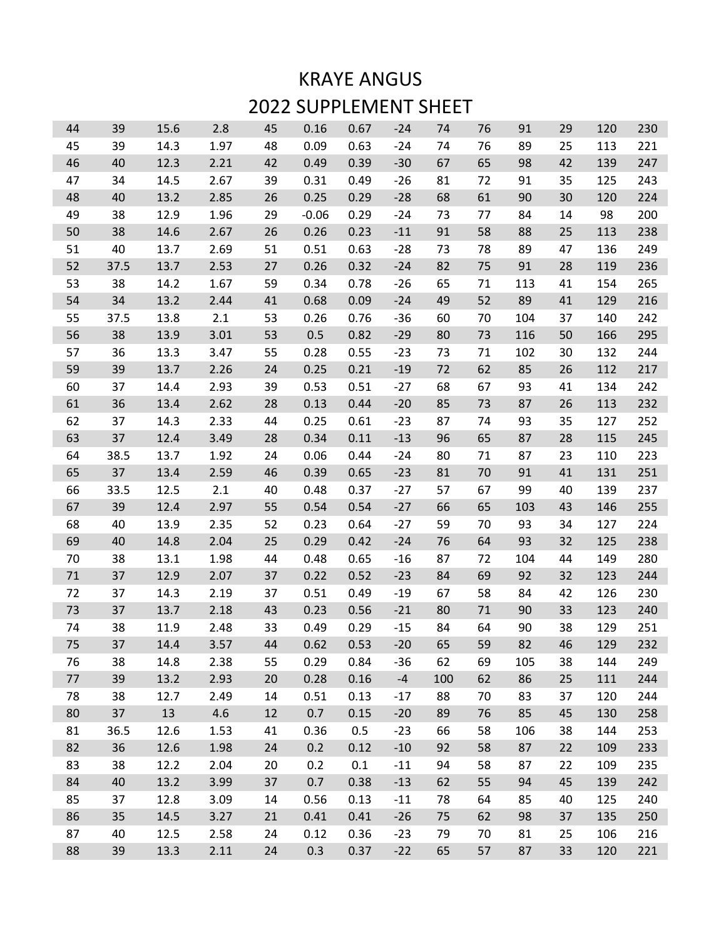## KRAYE ANGUS 2022 SUPPLEMENT SHEET

| 44 | 39   | 15.6 | 2.8  | 45 | 0.16    | 0.67 | $-24$ | 74  | 76 | 91  | 29 | 120 | 230 |
|----|------|------|------|----|---------|------|-------|-----|----|-----|----|-----|-----|
| 45 | 39   | 14.3 | 1.97 | 48 | 0.09    | 0.63 | $-24$ | 74  | 76 | 89  | 25 | 113 | 221 |
| 46 | 40   | 12.3 | 2.21 | 42 | 0.49    | 0.39 | $-30$ | 67  | 65 | 98  | 42 | 139 | 247 |
| 47 | 34   | 14.5 | 2.67 | 39 | 0.31    | 0.49 | $-26$ | 81  | 72 | 91  | 35 | 125 | 243 |
| 48 | 40   | 13.2 | 2.85 | 26 | 0.25    | 0.29 | $-28$ | 68  | 61 | 90  | 30 | 120 | 224 |
| 49 | 38   | 12.9 | 1.96 | 29 | $-0.06$ | 0.29 | $-24$ | 73  | 77 | 84  | 14 | 98  | 200 |
| 50 | 38   | 14.6 | 2.67 | 26 | 0.26    | 0.23 | $-11$ | 91  | 58 | 88  | 25 | 113 | 238 |
| 51 | 40   | 13.7 | 2.69 | 51 | 0.51    | 0.63 | $-28$ | 73  | 78 | 89  | 47 | 136 | 249 |
| 52 | 37.5 | 13.7 | 2.53 | 27 | 0.26    | 0.32 | $-24$ | 82  | 75 | 91  | 28 | 119 | 236 |
| 53 | 38   | 14.2 | 1.67 | 59 | 0.34    | 0.78 | $-26$ | 65  | 71 | 113 | 41 | 154 | 265 |
| 54 | 34   | 13.2 | 2.44 | 41 | 0.68    | 0.09 | $-24$ | 49  | 52 | 89  | 41 | 129 | 216 |
| 55 | 37.5 | 13.8 | 2.1  | 53 | 0.26    | 0.76 | $-36$ | 60  | 70 | 104 | 37 | 140 | 242 |
| 56 | 38   | 13.9 | 3.01 | 53 | 0.5     | 0.82 | $-29$ | 80  | 73 | 116 | 50 | 166 | 295 |
| 57 | 36   | 13.3 | 3.47 | 55 | 0.28    | 0.55 | $-23$ | 73  | 71 | 102 | 30 | 132 | 244 |
| 59 | 39   | 13.7 | 2.26 | 24 | 0.25    | 0.21 | $-19$ | 72  | 62 | 85  | 26 | 112 | 217 |
| 60 | 37   | 14.4 | 2.93 | 39 | 0.53    | 0.51 | $-27$ | 68  | 67 | 93  | 41 | 134 | 242 |
| 61 | 36   | 13.4 | 2.62 | 28 | 0.13    | 0.44 | $-20$ | 85  | 73 | 87  | 26 | 113 | 232 |
| 62 | 37   | 14.3 | 2.33 | 44 | 0.25    | 0.61 | $-23$ | 87  | 74 | 93  | 35 | 127 | 252 |
| 63 | 37   | 12.4 | 3.49 | 28 | 0.34    | 0.11 | $-13$ | 96  | 65 | 87  | 28 | 115 | 245 |
| 64 | 38.5 | 13.7 | 1.92 | 24 | 0.06    | 0.44 | $-24$ | 80  | 71 | 87  | 23 | 110 | 223 |
| 65 | 37   | 13.4 | 2.59 | 46 | 0.39    | 0.65 | $-23$ | 81  | 70 | 91  | 41 | 131 | 251 |
| 66 | 33.5 | 12.5 | 2.1  | 40 | 0.48    | 0.37 | $-27$ | 57  | 67 | 99  | 40 | 139 | 237 |
| 67 | 39   | 12.4 | 2.97 | 55 | 0.54    | 0.54 | $-27$ | 66  | 65 | 103 | 43 | 146 | 255 |
| 68 | 40   | 13.9 | 2.35 | 52 | 0.23    | 0.64 | $-27$ | 59  | 70 | 93  | 34 | 127 | 224 |
| 69 | 40   | 14.8 | 2.04 | 25 | 0.29    | 0.42 | $-24$ | 76  | 64 | 93  | 32 | 125 | 238 |
| 70 | 38   | 13.1 | 1.98 | 44 | 0.48    | 0.65 | $-16$ | 87  | 72 | 104 | 44 | 149 | 280 |
| 71 | 37   | 12.9 | 2.07 | 37 | 0.22    | 0.52 | $-23$ | 84  | 69 | 92  | 32 | 123 | 244 |
| 72 | 37   | 14.3 | 2.19 | 37 | 0.51    | 0.49 | $-19$ | 67  | 58 | 84  | 42 | 126 | 230 |
| 73 | 37   | 13.7 | 2.18 | 43 | 0.23    | 0.56 | $-21$ | 80  | 71 | 90  | 33 | 123 | 240 |
| 74 | 38   | 11.9 | 2.48 | 33 | 0.49    | 0.29 | $-15$ | 84  | 64 | 90  | 38 | 129 | 251 |
| 75 | 37   | 14.4 | 3.57 | 44 | 0.62    | 0.53 | $-20$ | 65  | 59 | 82  | 46 | 129 | 232 |
| 76 | 38   | 14.8 | 2.38 | 55 | 0.29    | 0.84 | -36   | 62  | 69 | 105 | 38 | 144 | 249 |
| 77 | 39   | 13.2 | 2.93 | 20 | 0.28    | 0.16 | $-4$  | 100 | 62 | 86  | 25 | 111 | 244 |
| 78 | 38   | 12.7 | 2.49 | 14 | 0.51    | 0.13 | $-17$ | 88  | 70 | 83  | 37 | 120 | 244 |
| 80 | 37   | 13   | 4.6  | 12 | 0.7     | 0.15 | $-20$ | 89  | 76 | 85  | 45 | 130 | 258 |
| 81 | 36.5 | 12.6 | 1.53 | 41 | 0.36    | 0.5  | $-23$ | 66  | 58 | 106 | 38 | 144 | 253 |
| 82 | 36   | 12.6 | 1.98 | 24 | 0.2     | 0.12 | $-10$ | 92  | 58 | 87  | 22 | 109 | 233 |
| 83 | 38   | 12.2 | 2.04 | 20 | 0.2     | 0.1  | $-11$ | 94  | 58 | 87  | 22 | 109 | 235 |
| 84 | 40   | 13.2 | 3.99 | 37 | 0.7     | 0.38 | $-13$ | 62  | 55 | 94  | 45 | 139 | 242 |
| 85 | 37   | 12.8 | 3.09 | 14 | 0.56    | 0.13 | $-11$ | 78  | 64 | 85  | 40 | 125 | 240 |
| 86 | 35   | 14.5 | 3.27 | 21 | 0.41    | 0.41 | $-26$ | 75  | 62 | 98  | 37 | 135 | 250 |
| 87 | 40   | 12.5 | 2.58 | 24 | 0.12    | 0.36 | $-23$ | 79  | 70 | 81  | 25 | 106 | 216 |
| 88 | 39   | 13.3 | 2.11 | 24 | 0.3     | 0.37 | $-22$ | 65  | 57 | 87  | 33 | 120 | 221 |